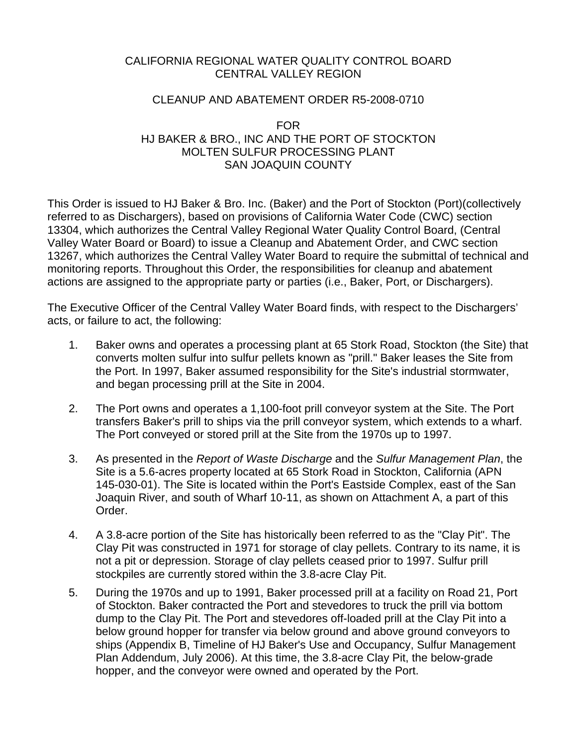### CALIFORNIA REGIONAL WATER QUALITY CONTROL BOARD CENTRAL VALLEY REGION

### CLEANUP AND ABATEMENT ORDER R5-2008-0710

### FOR HJ BAKER & BRO., INC AND THE PORT OF STOCKTON MOLTEN SULFUR PROCESSING PLANT SAN JOAQUIN COUNTY

This Order is issued to HJ Baker & Bro. Inc. (Baker) and the Port of Stockton (Port)(collectively referred to as Dischargers), based on provisions of California Water Code (CWC) section 13304, which authorizes the Central Valley Regional Water Quality Control Board, (Central Valley Water Board or Board) to issue a Cleanup and Abatement Order, and CWC section 13267, which authorizes the Central Valley Water Board to require the submittal of technical and monitoring reports. Throughout this Order, the responsibilities for cleanup and abatement actions are assigned to the appropriate party or parties (i.e., Baker, Port, or Dischargers).

The Executive Officer of the Central Valley Water Board finds, with respect to the Dischargers' acts, or failure to act, the following:

- 1. Baker owns and operates a processing plant at 65 Stork Road, Stockton (the Site) that converts molten sulfur into sulfur pellets known as "prill." Baker leases the Site from the Port. In 1997, Baker assumed responsibility for the Site's industrial stormwater, and began processing prill at the Site in 2004.
- 2. The Port owns and operates a 1,100-foot prill conveyor system at the Site. The Port transfers Baker's prill to ships via the prill conveyor system, which extends to a wharf. The Port conveyed or stored prill at the Site from the 1970s up to 1997.
- 3. As presented in the *Report of Waste Discharge* and the *Sulfur Management Plan*, the Site is a 5.6-acres property located at 65 Stork Road in Stockton, California (APN 145-030-01). The Site is located within the Port's Eastside Complex, east of the San Joaquin River, and south of Wharf 10-11, as shown on Attachment A, a part of this Order.
- 4. A 3.8-acre portion of the Site has historically been referred to as the "Clay Pit". The Clay Pit was constructed in 1971 for storage of clay pellets. Contrary to its name, it is not a pit or depression. Storage of clay pellets ceased prior to 1997. Sulfur prill stockpiles are currently stored within the 3.8-acre Clay Pit.
- 5. During the 1970s and up to 1991, Baker processed prill at a facility on Road 21, Port of Stockton. Baker contracted the Port and stevedores to truck the prill via bottom dump to the Clay Pit. The Port and stevedores off-loaded prill at the Clay Pit into a below ground hopper for transfer via below ground and above ground conveyors to ships (Appendix B, Timeline of HJ Baker's Use and Occupancy, Sulfur Management Plan Addendum, July 2006). At this time, the 3.8-acre Clay Pit, the below-grade hopper, and the conveyor were owned and operated by the Port.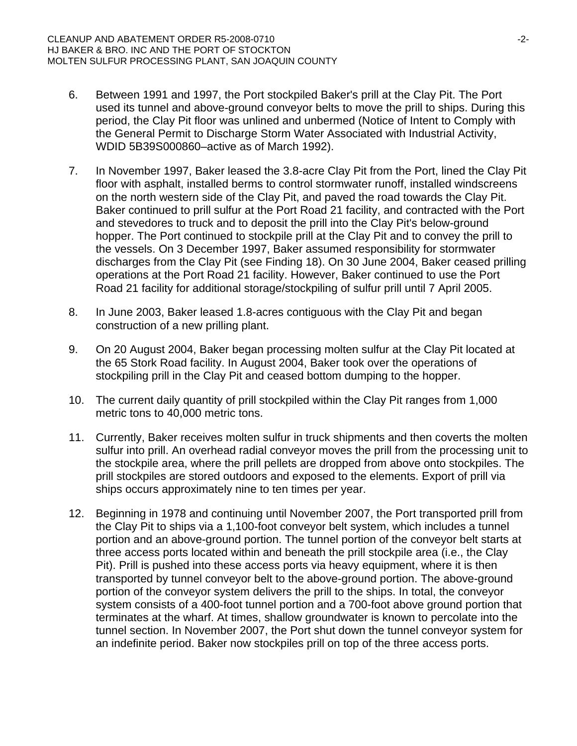- 6. Between 1991 and 1997, the Port stockpiled Baker's prill at the Clay Pit. The Port used its tunnel and above-ground conveyor belts to move the prill to ships. During this period, the Clay Pit floor was unlined and unbermed (Notice of Intent to Comply with the General Permit to Discharge Storm Water Associated with Industrial Activity, WDID 5B39S000860–active as of March 1992).
- 7. In November 1997, Baker leased the 3.8-acre Clay Pit from the Port, lined the Clay Pit floor with asphalt, installed berms to control stormwater runoff, installed windscreens on the north western side of the Clay Pit, and paved the road towards the Clay Pit. Baker continued to prill sulfur at the Port Road 21 facility, and contracted with the Port and stevedores to truck and to deposit the prill into the Clay Pit's below-ground hopper. The Port continued to stockpile prill at the Clay Pit and to convey the prill to the vessels. On 3 December 1997, Baker assumed responsibility for stormwater discharges from the Clay Pit (see Finding 18). On 30 June 2004, Baker ceased prilling operations at the Port Road 21 facility. However, Baker continued to use the Port Road 21 facility for additional storage/stockpiling of sulfur prill until 7 April 2005.
- 8. In June 2003, Baker leased 1.8-acres contiguous with the Clay Pit and began construction of a new prilling plant.
- 9. On 20 August 2004, Baker began processing molten sulfur at the Clay Pit located at the 65 Stork Road facility. In August 2004, Baker took over the operations of stockpiling prill in the Clay Pit and ceased bottom dumping to the hopper.
- 10. The current daily quantity of prill stockpiled within the Clay Pit ranges from 1,000 metric tons to 40,000 metric tons.
- 11. Currently, Baker receives molten sulfur in truck shipments and then coverts the molten sulfur into prill. An overhead radial conveyor moves the prill from the processing unit to the stockpile area, where the prill pellets are dropped from above onto stockpiles. The prill stockpiles are stored outdoors and exposed to the elements. Export of prill via ships occurs approximately nine to ten times per year.
- 12. Beginning in 1978 and continuing until November 2007, the Port transported prill from the Clay Pit to ships via a 1,100-foot conveyor belt system, which includes a tunnel portion and an above-ground portion. The tunnel portion of the conveyor belt starts at three access ports located within and beneath the prill stockpile area (i.e., the Clay Pit). Prill is pushed into these access ports via heavy equipment, where it is then transported by tunnel conveyor belt to the above-ground portion. The above-ground portion of the conveyor system delivers the prill to the ships. In total, the conveyor system consists of a 400-foot tunnel portion and a 700-foot above ground portion that terminates at the wharf. At times, shallow groundwater is known to percolate into the tunnel section. In November 2007, the Port shut down the tunnel conveyor system for an indefinite period. Baker now stockpiles prill on top of the three access ports.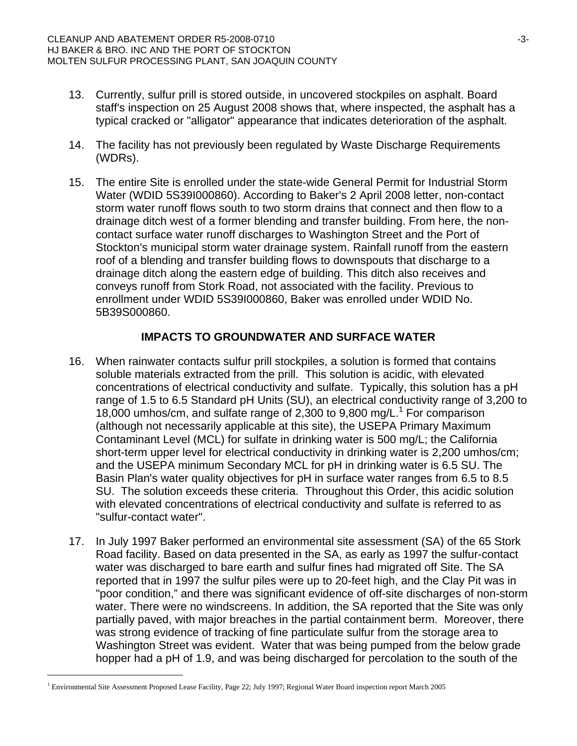- 13. Currently, sulfur prill is stored outside, in uncovered stockpiles on asphalt. Board staff's inspection on 25 August 2008 shows that, where inspected, the asphalt has a typical cracked or "alligator" appearance that indicates deterioration of the asphalt.
- 14. The facility has not previously been regulated by Waste Discharge Requirements (WDRs).
- 15. The entire Site is enrolled under the state-wide General Permit for Industrial Storm Water (WDID 5S39I000860). According to Baker's 2 April 2008 letter, non-contact storm water runoff flows south to two storm drains that connect and then flow to a drainage ditch west of a former blending and transfer building. From here, the noncontact surface water runoff discharges to Washington Street and the Port of Stockton's municipal storm water drainage system. Rainfall runoff from the eastern roof of a blending and transfer building flows to downspouts that discharge to a drainage ditch along the eastern edge of building. This ditch also receives and conveys runoff from Stork Road, not associated with the facility. Previous to enrollment under WDID 5S39I000860, Baker was enrolled under WDID No. 5B39S000860.

# **IMPACTS TO GROUNDWATER AND SURFACE WATER**

- 16. When rainwater contacts sulfur prill stockpiles, a solution is formed that contains soluble materials extracted from the prill. This solution is acidic, with elevated concentrations of electrical conductivity and sulfate. Typically, this solution has a pH range of 1.5 to 6.5 Standard pH Units (SU), an electrical conductivity range of 3,200 to 18,000 umhos/cm, and sulfate range of 2,300 to 9,800 mg/L.<sup>1</sup> For comparison (although not necessarily applicable at this site), the USEPA Primary Maximum Contaminant Level (MCL) for sulfate in drinking water is 500 mg/L; the California short-term upper level for electrical conductivity in drinking water is 2,200 umhos/cm; and the USEPA minimum Secondary MCL for pH in drinking water is 6.5 SU. The Basin Plan's water quality objectives for pH in surface water ranges from 6.5 to 8.5 SU. The solution exceeds these criteria. Throughout this Order, this acidic solution with elevated concentrations of electrical conductivity and sulfate is referred to as "sulfur-contact water".
- 17. In July 1997 Baker performed an environmental site assessment (SA) of the 65 Stork Road facility. Based on data presented in the SA, as early as 1997 the sulfur-contact water was discharged to bare earth and sulfur fines had migrated off Site. The SA reported that in 1997 the sulfur piles were up to 20-feet high, and the Clay Pit was in "poor condition," and there was significant evidence of off-site discharges of non-storm water. There were no windscreens. In addition, the SA reported that the Site was only partially paved, with major breaches in the partial containment berm. Moreover, there was strong evidence of tracking of fine particulate sulfur from the storage area to Washington Street was evident. Water that was being pumped from the below grade hopper had a pH of 1.9, and was being discharged for percolation to the south of the

l

<sup>1</sup> Environmental Site Assessment Proposed Lease Facility, Page 22; July 1997; Regional Water Board inspection report March 2005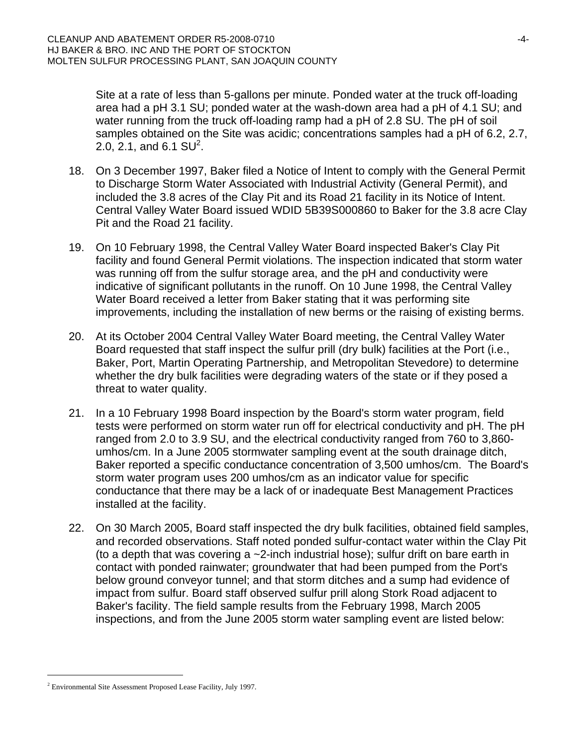Site at a rate of less than 5-gallons per minute. Ponded water at the truck off-loading area had a pH 3.1 SU; ponded water at the wash-down area had a pH of 4.1 SU; and water running from the truck off-loading ramp had a pH of 2.8 SU. The pH of soil samples obtained on the Site was acidic; concentrations samples had a pH of 6.2, 2.7, 2.0, 2.1, and 6.1  $SU^2$ .

- 18. On 3 December 1997, Baker filed a Notice of Intent to comply with the General Permit to Discharge Storm Water Associated with Industrial Activity (General Permit), and included the 3.8 acres of the Clay Pit and its Road 21 facility in its Notice of Intent. Central Valley Water Board issued WDID 5B39S000860 to Baker for the 3.8 acre Clay Pit and the Road 21 facility.
- 19. On 10 February 1998, the Central Valley Water Board inspected Baker's Clay Pit facility and found General Permit violations. The inspection indicated that storm water was running off from the sulfur storage area, and the pH and conductivity were indicative of significant pollutants in the runoff. On 10 June 1998, the Central Valley Water Board received a letter from Baker stating that it was performing site improvements, including the installation of new berms or the raising of existing berms.
- 20. At its October 2004 Central Valley Water Board meeting, the Central Valley Water Board requested that staff inspect the sulfur prill (dry bulk) facilities at the Port (i.e., Baker, Port, Martin Operating Partnership, and Metropolitan Stevedore) to determine whether the dry bulk facilities were degrading waters of the state or if they posed a threat to water quality.
- 21. In a 10 February 1998 Board inspection by the Board's storm water program, field tests were performed on storm water run off for electrical conductivity and pH. The pH ranged from 2.0 to 3.9 SU, and the electrical conductivity ranged from 760 to 3,860 umhos/cm. In a June 2005 stormwater sampling event at the south drainage ditch, Baker reported a specific conductance concentration of 3,500 umhos/cm. The Board's storm water program uses 200 umhos/cm as an indicator value for specific conductance that there may be a lack of or inadequate Best Management Practices installed at the facility.
- 22. On 30 March 2005, Board staff inspected the dry bulk facilities, obtained field samples, and recorded observations. Staff noted ponded sulfur-contact water within the Clay Pit (to a depth that was covering a  $\sim$ 2-inch industrial hose); sulfur drift on bare earth in contact with ponded rainwater; groundwater that had been pumped from the Port's below ground conveyor tunnel; and that storm ditches and a sump had evidence of impact from sulfur. Board staff observed sulfur prill along Stork Road adjacent to Baker's facility. The field sample results from the February 1998, March 2005 inspections, and from the June 2005 storm water sampling event are listed below:

l

<sup>&</sup>lt;sup>2</sup> Environmental Site Assessment Proposed Lease Facility, July 1997.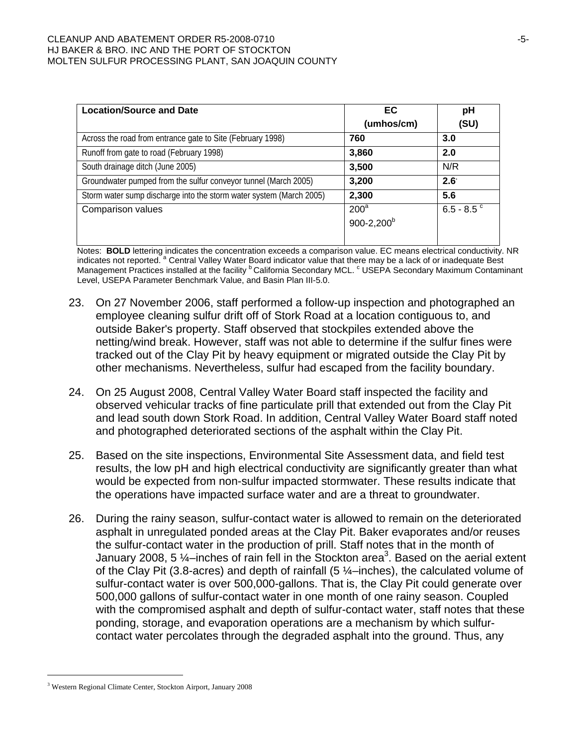#### CLEANUP AND ABATEMENT ORDER R5-2008-0710 HJ BAKER & BRO. INC AND THE PORT OF STOCKTON MOLTEN SULFUR PROCESSING PLANT, SAN JOAQUIN COUNTY

| <b>Location/Source and Date</b>                                     | EC.                   | рH            |
|---------------------------------------------------------------------|-----------------------|---------------|
|                                                                     | (umhos/cm)            | (SU)          |
| Across the road from entrance gate to Site (February 1998)          | 760                   | 3.0           |
| Runoff from gate to road (February 1998)                            | 3,860                 | 2.0           |
| South drainage ditch (June 2005)                                    | 3,500                 | N/R           |
| Groundwater pumped from the sulfur conveyor tunnel (March 2005)     | 3,200                 | $2.6^{\circ}$ |
| Storm water sump discharge into the storm water system (March 2005) | 2,300                 | 5.6           |
| Comparison values                                                   | $200^a$               | $6.5 - 8.5$   |
|                                                                     | $900 - 2,200^{\circ}$ |               |
|                                                                     |                       |               |

Notes: **BOLD** lettering indicates the concentration exceeds a comparison value. EC means electrical conductivity. NR indicates not reported. <sup>a</sup> Central Valley Water Board indicator value that there may be a lack of or inadequate Best Management Practices installed at the facility <sup>b</sup> California Secondary MCL. <sup>c</sup> USEPA Secondary Maximum Contaminant Level, USEPA Parameter Benchmark Value, and Basin Plan III-5.0.

- 23. On 27 November 2006, staff performed a follow-up inspection and photographed an employee cleaning sulfur drift off of Stork Road at a location contiguous to, and outside Baker's property. Staff observed that stockpiles extended above the netting/wind break. However, staff was not able to determine if the sulfur fines were tracked out of the Clay Pit by heavy equipment or migrated outside the Clay Pit by other mechanisms. Nevertheless, sulfur had escaped from the facility boundary.
- 24. On 25 August 2008, Central Valley Water Board staff inspected the facility and observed vehicular tracks of fine particulate prill that extended out from the Clay Pit and lead south down Stork Road. In addition, Central Valley Water Board staff noted and photographed deteriorated sections of the asphalt within the Clay Pit.
- 25. Based on the site inspections, Environmental Site Assessment data, and field test results, the low pH and high electrical conductivity are significantly greater than what would be expected from non-sulfur impacted stormwater. These results indicate that the operations have impacted surface water and are a threat to groundwater.
- 26. During the rainy season, sulfur-contact water is allowed to remain on the deteriorated asphalt in unregulated ponded areas at the Clay Pit. Baker evaporates and/or reuses the sulfur-contact water in the production of prill. Staff notes that in the month of January 2008, 5  $\frac{1}{4}$ -inches of rain fell in the Stockton area<sup>3</sup>. Based on the aerial extent of the Clay Pit (3.8-acres) and depth of rainfall (5 ¼–inches), the calculated volume of sulfur-contact water is over 500,000-gallons. That is, the Clay Pit could generate over 500,000 gallons of sulfur-contact water in one month of one rainy season. Coupled with the compromised asphalt and depth of sulfur-contact water, staff notes that these ponding, storage, and evaporation operations are a mechanism by which sulfurcontact water percolates through the degraded asphalt into the ground. Thus, any

l

<sup>3</sup> Western Regional Climate Center, Stockton Airport, January 2008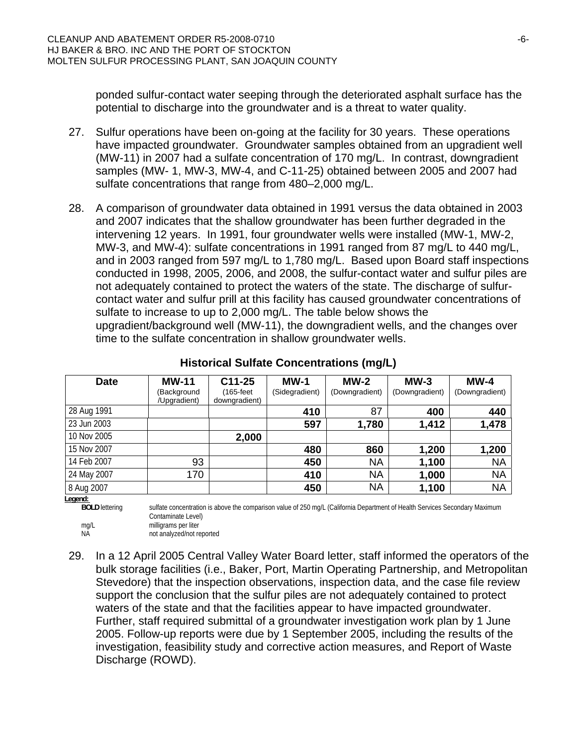ponded sulfur-contact water seeping through the deteriorated asphalt surface has the potential to discharge into the groundwater and is a threat to water quality.

- 27. Sulfur operations have been on-going at the facility for 30 years. These operations have impacted groundwater. Groundwater samples obtained from an upgradient well (MW-11) in 2007 had a sulfate concentration of 170 mg/L. In contrast, downgradient samples (MW- 1, MW-3, MW-4, and C-11-25) obtained between 2005 and 2007 had sulfate concentrations that range from 480–2,000 mg/L.
- 28. A comparison of groundwater data obtained in 1991 versus the data obtained in 2003 and 2007 indicates that the shallow groundwater has been further degraded in the intervening 12 years. In 1991, four groundwater wells were installed (MW-1, MW-2, MW-3, and MW-4): sulfate concentrations in 1991 ranged from 87 mg/L to 440 mg/L, and in 2003 ranged from 597 mg/L to 1,780 mg/L. Based upon Board staff inspections conducted in 1998, 2005, 2006, and 2008, the sulfur-contact water and sulfur piles are not adequately contained to protect the waters of the state. The discharge of sulfurcontact water and sulfur prill at this facility has caused groundwater concentrations of sulfate to increase to up to 2,000 mg/L. The table below shows the upgradient/background well (MW-11), the downgradient wells, and the changes over time to the sulfate concentration in shallow groundwater wells.

| <b>Date</b> | <b>MW-11</b><br>(Background<br>/Upgradient) | $C11-25$<br>(165-feet<br>downgradient) | $MW-1$<br>(Sidegradient) | $MW-2$<br>(Downgradient) | $MW-3$<br>(Downgradient) | $MW-4$<br>(Downgradient) |
|-------------|---------------------------------------------|----------------------------------------|--------------------------|--------------------------|--------------------------|--------------------------|
| 28 Aug 1991 |                                             |                                        | 410                      | 87                       | 400                      | 440                      |
| 23 Jun 2003 |                                             |                                        | 597                      | 1,780                    | 1,412                    | 1,478                    |
| 10 Nov 2005 |                                             | 2,000                                  |                          |                          |                          |                          |
| 15 Nov 2007 |                                             |                                        | 480                      | 860                      | 1,200                    | 1,200                    |
| 14 Feb 2007 | 93                                          |                                        | 450                      | <b>NA</b>                | 1,100                    | <b>NA</b>                |
| 24 May 2007 | 170                                         |                                        | 410                      | <b>NA</b>                | 1,000                    | <b>NA</b>                |
| 8 Aug 2007  |                                             |                                        | 450                      | <b>NA</b>                | 1,100                    | <b>NA</b>                |

### **Historical Sulfate Concentrations (mg/L)**

**Legend:** 

**BOLD** lettering sulfate concentration is above the comparison value of 250 mg/L (California Department of Health Services Secondary Maximum Contaminate Level)

mg/L milligrams per liter NA not analyzed/not reported

29. In a 12 April 2005 Central Valley Water Board letter, staff informed the operators of the bulk storage facilities (i.e., Baker, Port, Martin Operating Partnership, and Metropolitan Stevedore) that the inspection observations, inspection data, and the case file review support the conclusion that the sulfur piles are not adequately contained to protect waters of the state and that the facilities appear to have impacted groundwater. Further, staff required submittal of a groundwater investigation work plan by 1 June 2005. Follow-up reports were due by 1 September 2005, including the results of the investigation, feasibility study and corrective action measures, and Report of Waste Discharge (ROWD).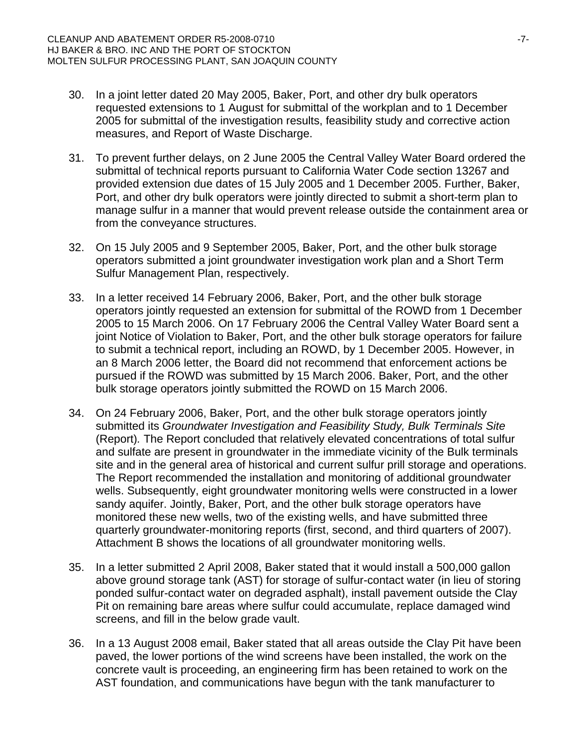- 30. In a joint letter dated 20 May 2005, Baker, Port, and other dry bulk operators requested extensions to 1 August for submittal of the workplan and to 1 December 2005 for submittal of the investigation results, feasibility study and corrective action measures, and Report of Waste Discharge.
- 31. To prevent further delays, on 2 June 2005 the Central Valley Water Board ordered the submittal of technical reports pursuant to California Water Code section 13267 and provided extension due dates of 15 July 2005 and 1 December 2005. Further, Baker, Port, and other dry bulk operators were jointly directed to submit a short-term plan to manage sulfur in a manner that would prevent release outside the containment area or from the conveyance structures.
- 32. On 15 July 2005 and 9 September 2005, Baker, Port, and the other bulk storage operators submitted a joint groundwater investigation work plan and a Short Term Sulfur Management Plan, respectively.
- 33. In a letter received 14 February 2006, Baker, Port, and the other bulk storage operators jointly requested an extension for submittal of the ROWD from 1 December 2005 to 15 March 2006. On 17 February 2006 the Central Valley Water Board sent a joint Notice of Violation to Baker, Port, and the other bulk storage operators for failure to submit a technical report, including an ROWD, by 1 December 2005. However, in an 8 March 2006 letter, the Board did not recommend that enforcement actions be pursued if the ROWD was submitted by 15 March 2006. Baker, Port, and the other bulk storage operators jointly submitted the ROWD on 15 March 2006.
- 34. On 24 February 2006, Baker, Port, and the other bulk storage operators jointly submitted its *Groundwater Investigation and Feasibility Study, Bulk Terminals Site* (Report)*.* The Report concluded that relatively elevated concentrations of total sulfur and sulfate are present in groundwater in the immediate vicinity of the Bulk terminals site and in the general area of historical and current sulfur prill storage and operations. The Report recommended the installation and monitoring of additional groundwater wells. Subsequently, eight groundwater monitoring wells were constructed in a lower sandy aquifer. Jointly, Baker, Port, and the other bulk storage operators have monitored these new wells, two of the existing wells, and have submitted three quarterly groundwater-monitoring reports (first, second, and third quarters of 2007). Attachment B shows the locations of all groundwater monitoring wells.
- 35. In a letter submitted 2 April 2008, Baker stated that it would install a 500,000 gallon above ground storage tank (AST) for storage of sulfur-contact water (in lieu of storing ponded sulfur-contact water on degraded asphalt), install pavement outside the Clay Pit on remaining bare areas where sulfur could accumulate, replace damaged wind screens, and fill in the below grade vault.
- 36. In a 13 August 2008 email, Baker stated that all areas outside the Clay Pit have been paved, the lower portions of the wind screens have been installed, the work on the concrete vault is proceeding, an engineering firm has been retained to work on the AST foundation, and communications have begun with the tank manufacturer to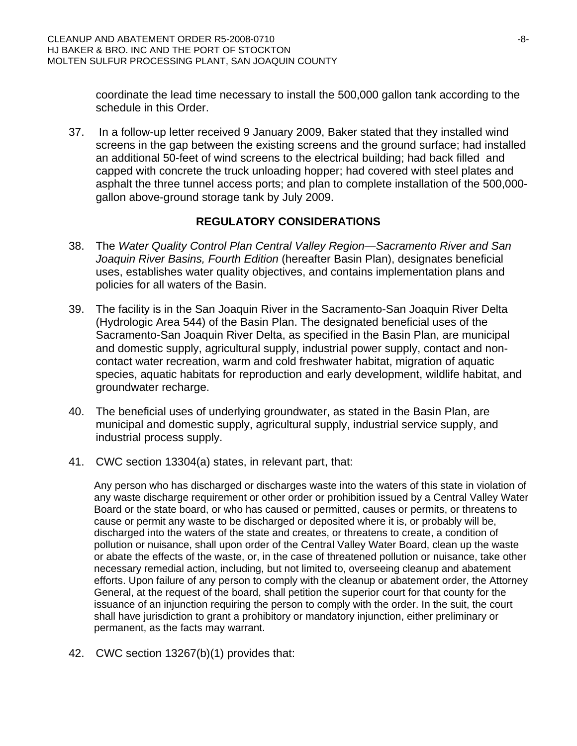coordinate the lead time necessary to install the 500,000 gallon tank according to the schedule in this Order.

37. In a follow-up letter received 9 January 2009, Baker stated that they installed wind screens in the gap between the existing screens and the ground surface; had installed an additional 50-feet of wind screens to the electrical building; had back filled and capped with concrete the truck unloading hopper; had covered with steel plates and asphalt the three tunnel access ports; and plan to complete installation of the 500,000 gallon above-ground storage tank by July 2009.

## **REGULATORY CONSIDERATIONS**

- 38. The *Water Quality Control Plan Central Valley Region—Sacramento River and San Joaquin River Basins, Fourth Edition* (hereafter Basin Plan), designates beneficial uses, establishes water quality objectives, and contains implementation plans and policies for all waters of the Basin.
- 39. The facility is in the San Joaquin River in the Sacramento-San Joaquin River Delta (Hydrologic Area 544) of the Basin Plan. The designated beneficial uses of the Sacramento-San Joaquin River Delta, as specified in the Basin Plan, are municipal and domestic supply, agricultural supply, industrial power supply, contact and noncontact water recreation, warm and cold freshwater habitat, migration of aquatic species, aquatic habitats for reproduction and early development, wildlife habitat, and groundwater recharge.
- 40. The beneficial uses of underlying groundwater, as stated in the Basin Plan, are municipal and domestic supply, agricultural supply, industrial service supply, and industrial process supply.
- 41. CWC section 13304(a) states, in relevant part, that:

Any person who has discharged or discharges waste into the waters of this state in violation of any waste discharge requirement or other order or prohibition issued by a Central Valley Water Board or the state board, or who has caused or permitted, causes or permits, or threatens to cause or permit any waste to be discharged or deposited where it is, or probably will be, discharged into the waters of the state and creates, or threatens to create, a condition of pollution or nuisance, shall upon order of the Central Valley Water Board, clean up the waste or abate the effects of the waste, or, in the case of threatened pollution or nuisance, take other necessary remedial action, including, but not limited to, overseeing cleanup and abatement efforts. Upon failure of any person to comply with the cleanup or abatement order, the Attorney General, at the request of the board, shall petition the superior court for that county for the issuance of an injunction requiring the person to comply with the order. In the suit, the court shall have jurisdiction to grant a prohibitory or mandatory injunction, either preliminary or permanent, as the facts may warrant.

42. CWC section 13267(b)(1) provides that: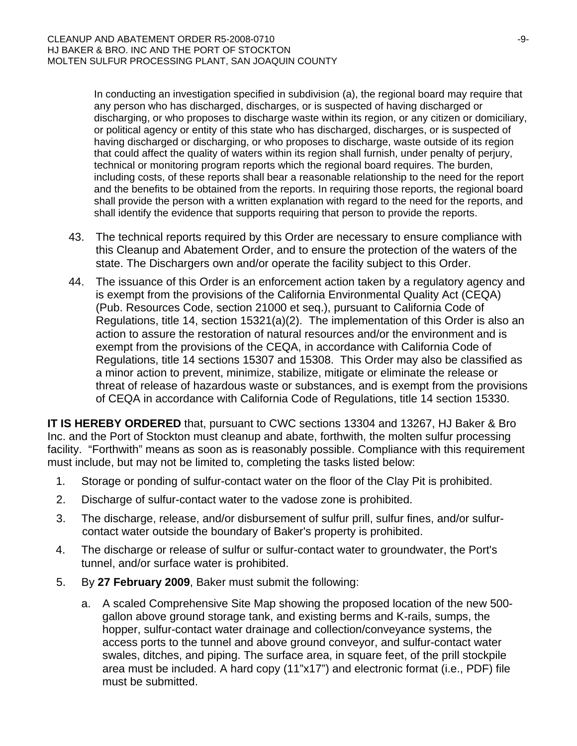In conducting an investigation specified in subdivision (a), the regional board may require that any person who has discharged, discharges, or is suspected of having discharged or discharging, or who proposes to discharge waste within its region, or any citizen or domiciliary, or political agency or entity of this state who has discharged, discharges, or is suspected of having discharged or discharging, or who proposes to discharge, waste outside of its region that could affect the quality of waters within its region shall furnish, under penalty of perjury, technical or monitoring program reports which the regional board requires. The burden, including costs, of these reports shall bear a reasonable relationship to the need for the report and the benefits to be obtained from the reports. In requiring those reports, the regional board shall provide the person with a written explanation with regard to the need for the reports, and shall identify the evidence that supports requiring that person to provide the reports.

- 43. The technical reports required by this Order are necessary to ensure compliance with this Cleanup and Abatement Order, and to ensure the protection of the waters of the state. The Dischargers own and/or operate the facility subject to this Order.
- 44. The issuance of this Order is an enforcement action taken by a regulatory agency and is exempt from the provisions of the California Environmental Quality Act (CEQA) (Pub. Resources Code, section 21000 et seq.), pursuant to California Code of Regulations, title 14, section 15321(a)(2). The implementation of this Order is also an action to assure the restoration of natural resources and/or the environment and is exempt from the provisions of the CEQA, in accordance with California Code of Regulations, title 14 sections 15307 and 15308. This Order may also be classified as a minor action to prevent, minimize, stabilize, mitigate or eliminate the release or threat of release of hazardous waste or substances, and is exempt from the provisions of CEQA in accordance with California Code of Regulations, title 14 section 15330.

**IT IS HEREBY ORDERED** that, pursuant to CWC sections 13304 and 13267, HJ Baker & Bro Inc. and the Port of Stockton must cleanup and abate, forthwith, the molten sulfur processing facility. "Forthwith" means as soon as is reasonably possible. Compliance with this requirement must include, but may not be limited to, completing the tasks listed below:

- 1. Storage or ponding of sulfur-contact water on the floor of the Clay Pit is prohibited.
- 2. Discharge of sulfur-contact water to the vadose zone is prohibited.
- 3. The discharge, release, and/or disbursement of sulfur prill, sulfur fines, and/or sulfurcontact water outside the boundary of Baker's property is prohibited.
- 4. The discharge or release of sulfur or sulfur-contact water to groundwater, the Port's tunnel, and/or surface water is prohibited.
- 5. By **27 February 2009**, Baker must submit the following:
	- a. A scaled Comprehensive Site Map showing the proposed location of the new 500 gallon above ground storage tank, and existing berms and K-rails, sumps, the hopper, sulfur-contact water drainage and collection/conveyance systems, the access ports to the tunnel and above ground conveyor, and sulfur-contact water swales, ditches, and piping. The surface area, in square feet, of the prill stockpile area must be included. A hard copy (11"x17") and electronic format (i.e., PDF) file must be submitted.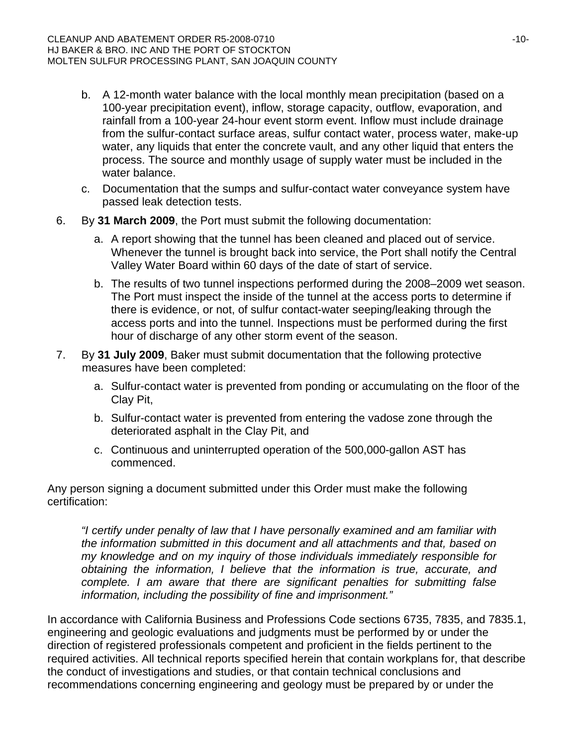- b. A 12-month water balance with the local monthly mean precipitation (based on a 100-year precipitation event), inflow, storage capacity, outflow, evaporation, and rainfall from a 100-year 24-hour event storm event. Inflow must include drainage from the sulfur-contact surface areas, sulfur contact water, process water, make-up water, any liquids that enter the concrete vault, and any other liquid that enters the process. The source and monthly usage of supply water must be included in the water balance.
- c. Documentation that the sumps and sulfur-contact water conveyance system have passed leak detection tests.
- 6. By **31 March 2009**, the Port must submit the following documentation:
	- a. A report showing that the tunnel has been cleaned and placed out of service. Whenever the tunnel is brought back into service, the Port shall notify the Central Valley Water Board within 60 days of the date of start of service.
	- b. The results of two tunnel inspections performed during the 2008–2009 wet season. The Port must inspect the inside of the tunnel at the access ports to determine if there is evidence, or not, of sulfur contact-water seeping/leaking through the access ports and into the tunnel. Inspections must be performed during the first hour of discharge of any other storm event of the season.
- 7. By **31 July 2009**, Baker must submit documentation that the following protective measures have been completed:
	- a. Sulfur-contact water is prevented from ponding or accumulating on the floor of the Clay Pit,
	- b. Sulfur-contact water is prevented from entering the vadose zone through the deteriorated asphalt in the Clay Pit, and
	- c. Continuous and uninterrupted operation of the 500,000-gallon AST has commenced.

Any person signing a document submitted under this Order must make the following certification:

*"I certify under penalty of law that I have personally examined and am familiar with the information submitted in this document and all attachments and that, based on my knowledge and on my inquiry of those individuals immediately responsible for obtaining the information, I believe that the information is true, accurate, and complete. I am aware that there are significant penalties for submitting false information, including the possibility of fine and imprisonment."* 

In accordance with California Business and Professions Code sections 6735, 7835, and 7835.1, engineering and geologic evaluations and judgments must be performed by or under the direction of registered professionals competent and proficient in the fields pertinent to the required activities. All technical reports specified herein that contain workplans for, that describe the conduct of investigations and studies, or that contain technical conclusions and recommendations concerning engineering and geology must be prepared by or under the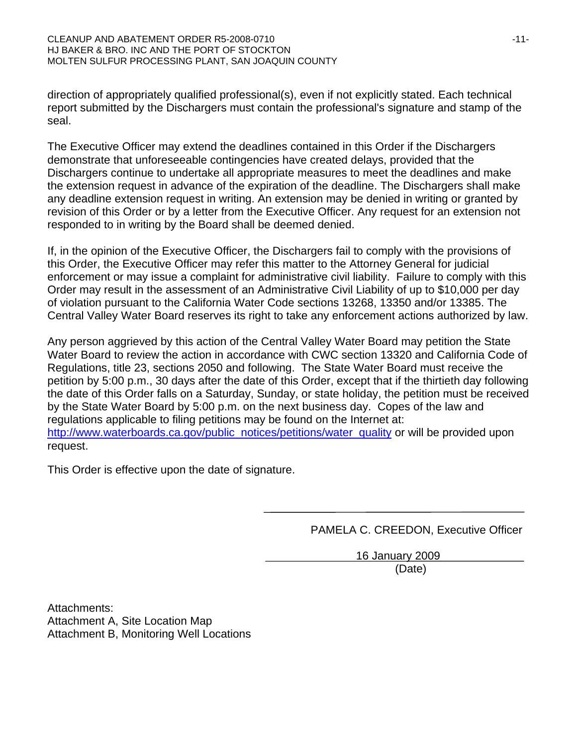direction of appropriately qualified professional(s), even if not explicitly stated. Each technical report submitted by the Dischargers must contain the professional's signature and stamp of the seal.

The Executive Officer may extend the deadlines contained in this Order if the Dischargers demonstrate that unforeseeable contingencies have created delays, provided that the Dischargers continue to undertake all appropriate measures to meet the deadlines and make the extension request in advance of the expiration of the deadline. The Dischargers shall make any deadline extension request in writing. An extension may be denied in writing or granted by revision of this Order or by a letter from the Executive Officer. Any request for an extension not responded to in writing by the Board shall be deemed denied.

If, in the opinion of the Executive Officer, the Dischargers fail to comply with the provisions of this Order, the Executive Officer may refer this matter to the Attorney General for judicial enforcement or may issue a complaint for administrative civil liability. Failure to comply with this Order may result in the assessment of an Administrative Civil Liability of up to \$10,000 per day of violation pursuant to the California Water Code sections 13268, 13350 and/or 13385. The Central Valley Water Board reserves its right to take any enforcement actions authorized by law.

Any person aggrieved by this action of the Central Valley Water Board may petition the State Water Board to review the action in accordance with CWC section 13320 and California Code of Regulations, title 23, sections 2050 and following. The State Water Board must receive the petition by 5:00 p.m., 30 days after the date of this Order, except that if the thirtieth day following the date of this Order falls on a Saturday, Sunday, or state holiday, the petition must be received by the State Water Board by 5:00 p.m. on the next business day. Copes of the law and regulations applicable to filing petitions may be found on the Internet at: http://www.waterboards.ca.gov/public\_notices/petitions/water\_quality or will be provided upon request.

This Order is effective upon the date of signature.

PAMELA C. CREEDON, Executive Officer

 16 January 2009 (Date)

Attachments: Attachment A, Site Location Map Attachment B, Monitoring Well Locations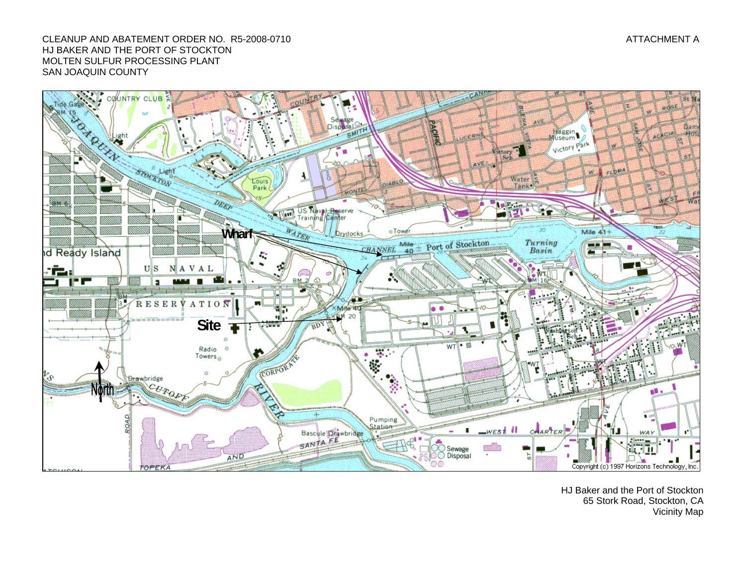#### CLEANUP AND ABATEMENT ORDER NO. R5-2008-0710 ATTACHMENT AND RESERVE THE STATE OF A STATE OF A STATE OF A STATE OF A HJ BAKER AND THE PORT OF STOCKTON MOLTEN SULFUR PROCESSING PLANT SAN JOAQUIN COUNTY



HJ Baker and the Port of Stockton 65 Stork Road, Stockton, CA Vicinity Map